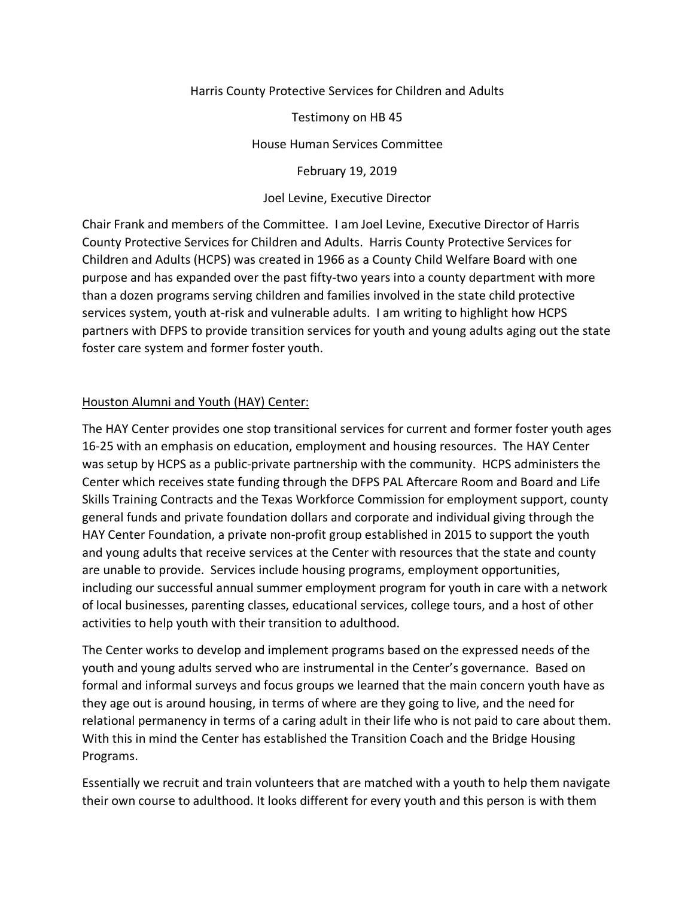## Harris County Protective Services for Children and Adults

Testimony on HB 45

House Human Services Committee

February 19, 2019

## Joel Levine, Executive Director

Chair Frank and members of the Committee. I am Joel Levine, Executive Director of Harris County Protective Services for Children and Adults. Harris County Protective Services for Children and Adults (HCPS) was created in 1966 as a County Child Welfare Board with one purpose and has expanded over the past fifty-two years into a county department with more than a dozen programs serving children and families involved in the state child protective services system, youth at-risk and vulnerable adults. I am writing to highlight how HCPS partners with DFPS to provide transition services for youth and young adults aging out the state foster care system and former foster youth.

## Houston Alumni and Youth (HAY) Center:

The HAY Center provides one stop transitional services for current and former foster youth ages 16-25 with an emphasis on education, employment and housing resources. The HAY Center was setup by HCPS as a public-private partnership with the community. HCPS administers the Center which receives state funding through the DFPS PAL Aftercare Room and Board and Life Skills Training Contracts and the Texas Workforce Commission for employment support, county general funds and private foundation dollars and corporate and individual giving through the HAY Center Foundation, a private non-profit group established in 2015 to support the youth and young adults that receive services at the Center with resources that the state and county are unable to provide. Services include housing programs, employment opportunities, including our successful annual summer employment program for youth in care with a network of local businesses, parenting classes, educational services, college tours, and a host of other activities to help youth with their transition to adulthood.

The Center works to develop and implement programs based on the expressed needs of the youth and young adults served who are instrumental in the Center's governance. Based on formal and informal surveys and focus groups we learned that the main concern youth have as they age out is around housing, in terms of where are they going to live, and the need for relational permanency in terms of a caring adult in their life who is not paid to care about them. With this in mind the Center has established the Transition Coach and the Bridge Housing Programs.

Essentially we recruit and train volunteers that are matched with a youth to help them navigate their own course to adulthood. It looks different for every youth and this person is with them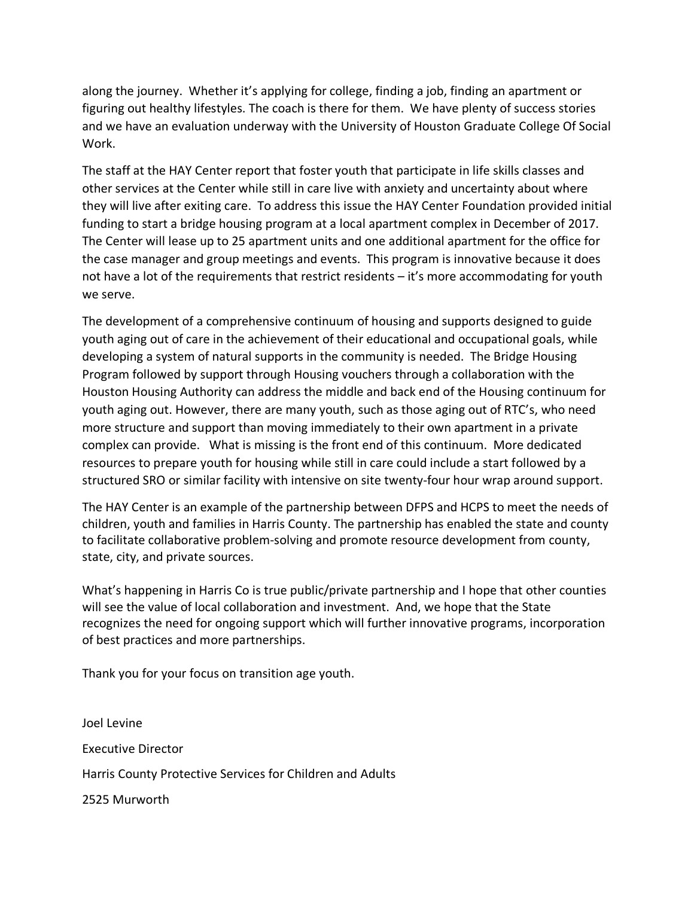along the journey. Whether it's applying for college, finding a job, finding an apartment or figuring out healthy lifestyles. The coach is there for them. We have plenty of success stories and we have an evaluation underway with the University of Houston Graduate College Of Social Work.

The staff at the HAY Center report that foster youth that participate in life skills classes and other services at the Center while still in care live with anxiety and uncertainty about where they will live after exiting care. To address this issue the HAY Center Foundation provided initial funding to start a bridge housing program at a local apartment complex in December of 2017. The Center will lease up to 25 apartment units and one additional apartment for the office for the case manager and group meetings and events. This program is innovative because it does not have a lot of the requirements that restrict residents – it's more accommodating for youth we serve.

The development of a comprehensive continuum of housing and supports designed to guide youth aging out of care in the achievement of their educational and occupational goals, while developing a system of natural supports in the community is needed. The Bridge Housing Program followed by support through Housing vouchers through a collaboration with the Houston Housing Authority can address the middle and back end of the Housing continuum for youth aging out. However, there are many youth, such as those aging out of RTC's, who need more structure and support than moving immediately to their own apartment in a private complex can provide. What is missing is the front end of this continuum. More dedicated resources to prepare youth for housing while still in care could include a start followed by a structured SRO or similar facility with intensive on site twenty-four hour wrap around support.

The HAY Center is an example of the partnership between DFPS and HCPS to meet the needs of children, youth and families in Harris County. The partnership has enabled the state and county to facilitate collaborative problem-solving and promote resource development from county, state, city, and private sources.

What's happening in Harris Co is true public/private partnership and I hope that other counties will see the value of local collaboration and investment. And, we hope that the State recognizes the need for ongoing support which will further innovative programs, incorporation of best practices and more partnerships.

Thank you for your focus on transition age youth.

Joel Levine Executive Director Harris County Protective Services for Children and Adults 2525 Murworth